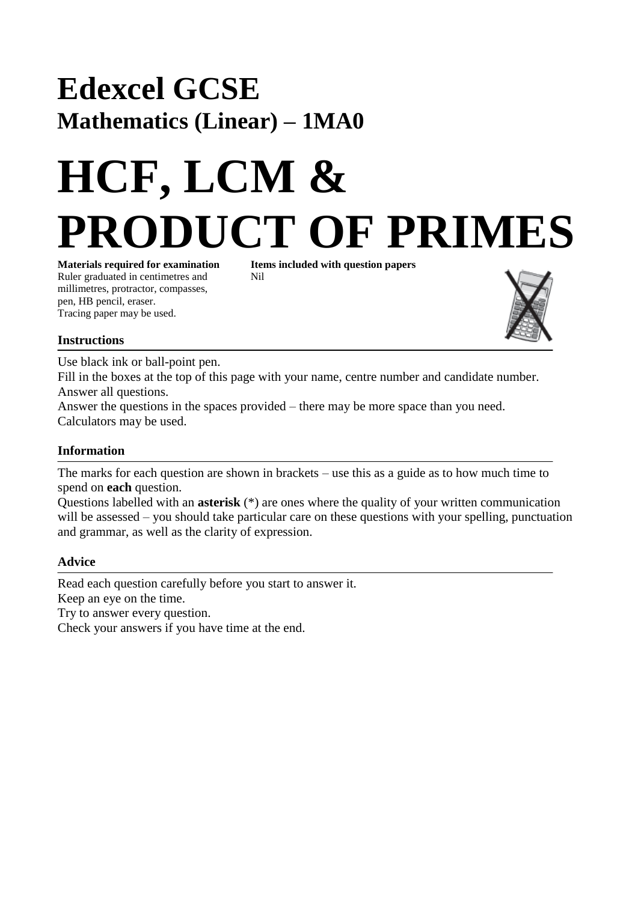## **Edexcel GCSE Mathematics (Linear) – 1MA0**

# **HCF, LCM & PRODUCT OF PRIMES**

**Materials required for examination Items included with question papers** Ruler graduated in centimetres and Nil millimetres, protractor, compasses, pen, HB pencil, eraser. Tracing paper may be used.



#### **Instructions**

Use black ink or ball-point pen.

Fill in the boxes at the top of this page with your name, centre number and candidate number. Answer all questions.

Answer the questions in the spaces provided – there may be more space than you need. Calculators may be used.

#### **Information**

The marks for each question are shown in brackets – use this as a guide as to how much time to spend on **each** question.

Questions labelled with an **asterisk** (\*) are ones where the quality of your written communication will be assessed – you should take particular care on these questions with your spelling, punctuation and grammar, as well as the clarity of expression.

#### **Advice**

Read each question carefully before you start to answer it. Keep an eye on the time. Try to answer every question. Check your answers if you have time at the end.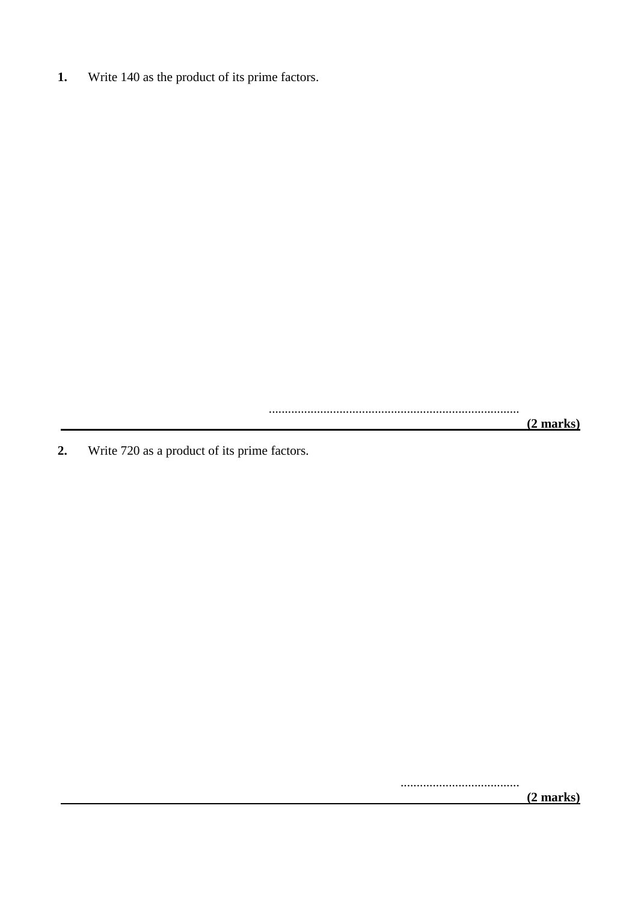**1.** Write 140 as the product of its prime factors.

..............................................................................

 **(2 marks)**

**2.** Write 720 as a product of its prime factors.

.....................................

 **(2 marks)**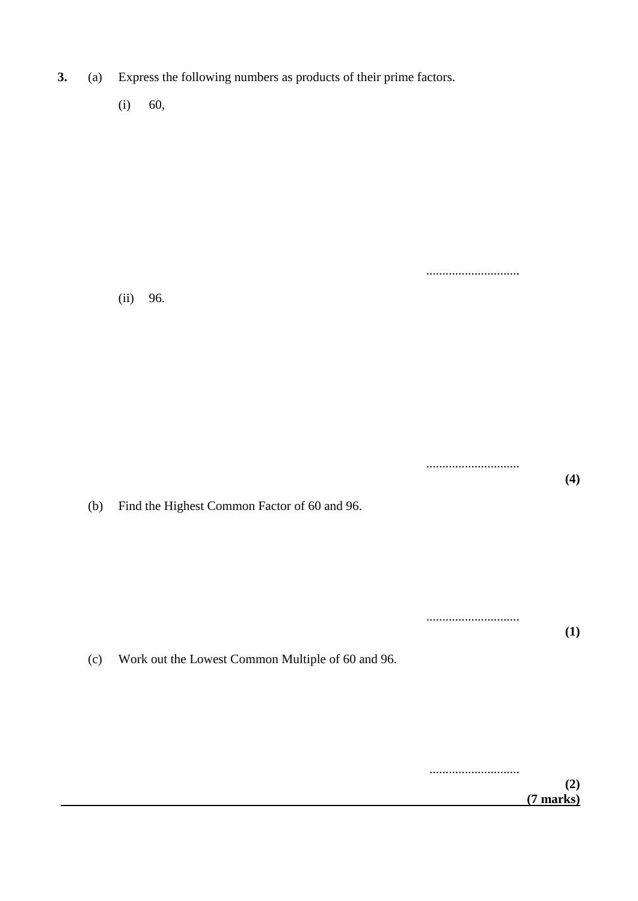**3.** (a) Express the following numbers as products of their prime factors.

(i) 60,

(ii) 96.

.............................

.............................

**(4)**

**(1)**

.............................

(b) Find the Highest Common Factor of 60 and 96.

(c) Work out the Lowest Common Multiple of 60 and 96.

............................ **(2) (7 marks)**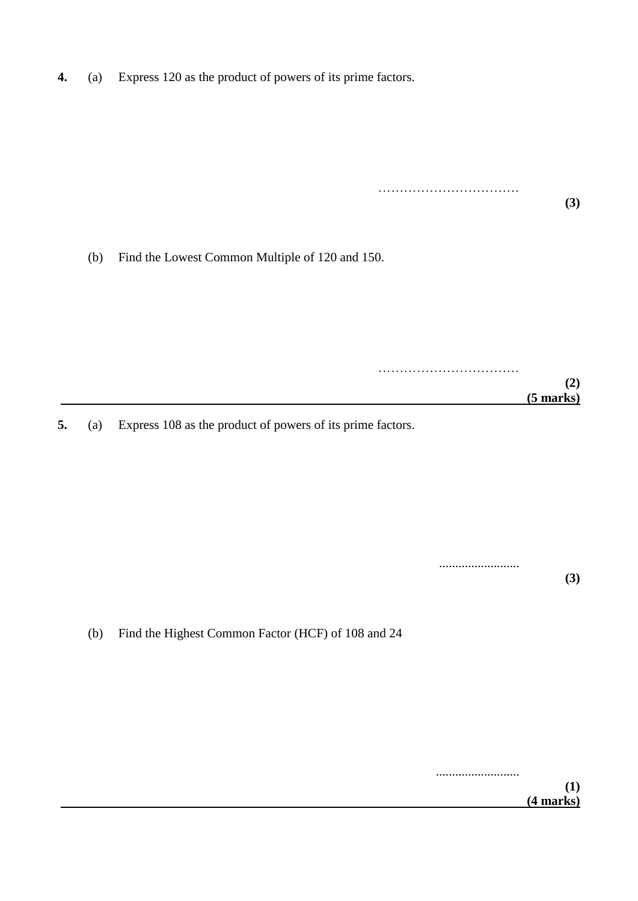**4.** (a) Express 120 as the product of powers of its prime factors.

**(3)** (b) Find the Lowest Common Multiple of 120 and 150. …………………………………… **(2) (5 marks)**

……………………………………………

**5.** (a) Express 108 as the product of powers of its prime factors.

......................... **(3)**

(b) Find the Highest Common Factor (HCF) of 108 and 24

.......................... **(1) (4 marks)**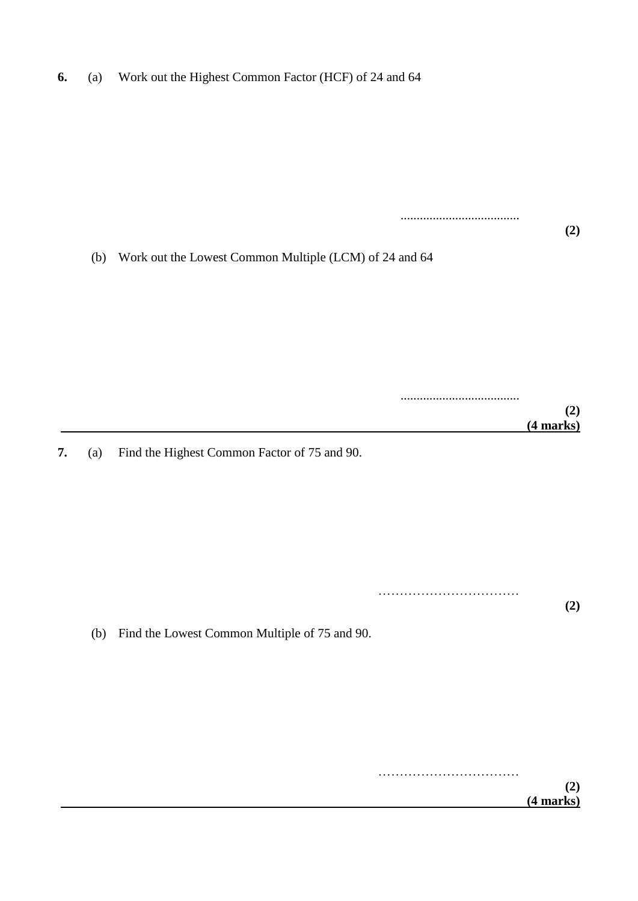| 6. |  | (a) Work out the Highest Common Factor (HCF) of 24 and 64 |  |
|----|--|-----------------------------------------------------------|--|
|----|--|-----------------------------------------------------------|--|

.....................................

.....................................

**(2)**

**(2)**

**(2)**

(b) Work out the Lowest Common Multiple (LCM) of 24 and 64

 **(4 marks)**

**7.** (a) Find the Highest Common Factor of 75 and 90.

…………………………………………

(b) Find the Lowest Common Multiple of 75 and 90.

…………………………… **(2) (4 marks)**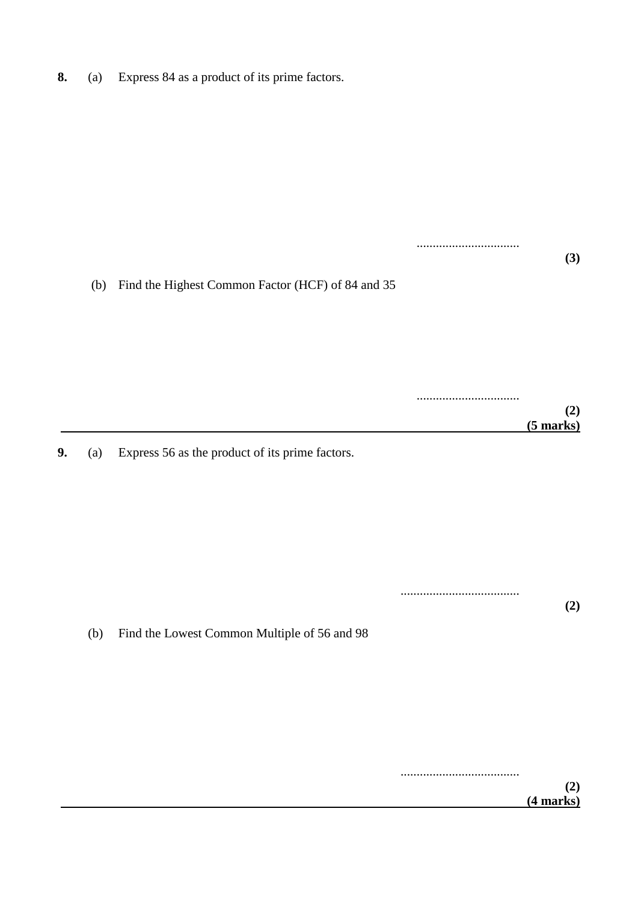**8.** (a) Express 84 as a product of its prime factors.

|    | (b) | Find the Highest Common Factor (HCF) of 84 and 35 | (3)                |
|----|-----|---------------------------------------------------|--------------------|
|    |     |                                                   | (2)<br>$(5$ marks) |
| 9. | (a) | Express 56 as the product of its prime factors.   |                    |
|    | (b) | Find the Lowest Common Multiple of 56 and 98      | (2)                |

..................................... **(2) (4 marks)**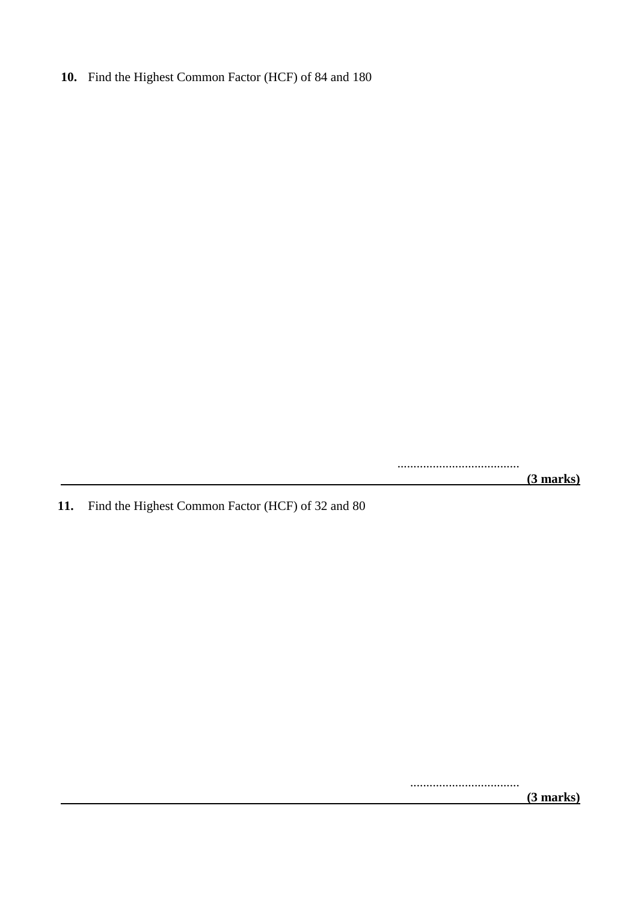### **10.** Find the Highest Common Factor (HCF) of 84 and 180

......................................  **(3 marks)**

**11.** Find the Highest Common Factor (HCF) of 32 and 80

..................................

 **(3 marks)**